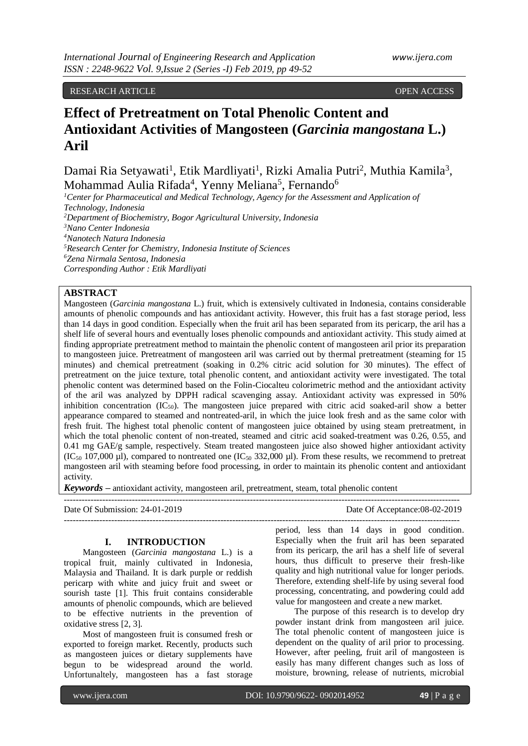## RESEARCH ARTICLE OPEN ACCESS

# **Effect of Pretreatment on Total Phenolic Content and Antioxidant Activities of Mangosteen (***Garcinia mangostana* **L.) Aril**

Damai Ria Setyawati<sup>1</sup>, Etik Mardliyati<sup>1</sup>, Rizki Amalia Putri<sup>2</sup>, Muthia Kamila<sup>3</sup>, Mohammad Aulia Rifada<sup>4</sup>, Yenny Meliana<sup>5</sup>, Fernando<sup>6</sup>

*Center for Pharmaceutical and Medical Technology, Agency for the Assessment and Application of Technology, Indonesia Department of Biochemistry, Bogor Agricultural University, Indonesia Nano Center Indonesia Nanotech Natura Indonesia Research Center for Chemistry, Indonesia Institute of Sciences Zena Nirmala Sentosa, Indonesia Corresponding Author : Etik Mardliyati* 

# **ABSTRACT**

Mangosteen (*Garcinia mangostana* L.) fruit, which is extensively cultivated in Indonesia, contains considerable amounts of phenolic compounds and has antioxidant activity. However, this fruit has a fast storage period, less than 14 days in good condition. Especially when the fruit aril has been separated from its pericarp, the aril has a shelf life of several hours and eventually loses phenolic compounds and antioxidant activity. This study aimed at finding appropriate pretreatment method to maintain the phenolic content of mangosteen aril prior its preparation to mangosteen juice. Pretreatment of mangosteen aril was carried out by thermal pretreatment (steaming for 15 minutes) and chemical pretreatment (soaking in 0.2% citric acid solution for 30 minutes). The effect of pretreatment on the juice texture, total phenolic content, and antioxidant activity were investigated. The total phenolic content was determined based on the Folin-Ciocalteu colorimetric method and the antioxidant activity of the aril was analyzed by DPPH radical scavenging assay. Antioxidant activity was expressed in 50% inhibition concentration  $(IC_{50})$ . The mangosteen juice prepared with citric acid soaked-aril show a better appearance compared to steamed and nontreated-aril, in which the juice look fresh and as the same color with fresh fruit. The highest total phenolic content of mangosteen juice obtained by using steam pretreatment, in which the total phenolic content of non-treated, steamed and citric acid soaked-treatment was 0.26, 0.55, and 0.41 mg GAE/g sample, respectively. Steam treated mangosteen juice also showed higher antioxidant activity  $(IC<sub>50</sub> 107,000 \mu I)$ , compared to nontreated one  $(IC<sub>50</sub> 332,000 \mu I)$ . From these results, we recommend to pretreat mangosteen aril with steaming before food processing, in order to maintain its phenolic content and antioxidant activity.

*Keywords* **–** antioxidant activity, mangosteen aril, pretreatment, steam, total phenolic content

| Date Of Submission: 24-01-2019 | Date Of Acceptance:08-02-2019 |
|--------------------------------|-------------------------------|
|                                |                               |

#### **I. INTRODUCTION**

Mangosteen (*Garcinia mangostana* L.) is a tropical fruit, mainly cultivated in Indonesia, Malaysia and Thailand. It is dark purple or reddish pericarp with white and juicy fruit and sweet or sourish taste [1]. This fruit contains considerable amounts of phenolic compounds, which are believed to be effective nutrients in the prevention of oxidative stress [2, 3].

Most of mangosteen fruit is consumed fresh or exported to foreign market. Recently, products such as mangosteen juices or dietary supplements have begun to be widespread around the world. Unfortunaltely, mangosteen has a fast storage

period, less than 14 days in good condition. Especially when the fruit aril has been separated from its pericarp, the aril has a shelf life of several hours, thus difficult to preserve their fresh-like quality and high nutritional value for longer periods. Therefore, extending shelf-life by using several food processing, concentrating, and powdering could add value for mangosteen and create a new market.

The purpose of this research is to develop dry powder instant drink from mangosteen aril juice. The total phenolic content of mangosteen juice is dependent on the quality of aril prior to processing. However, after peeling, fruit aril of mangosteen is easily has many different changes such as loss of moisture, browning, release of nutrients, microbial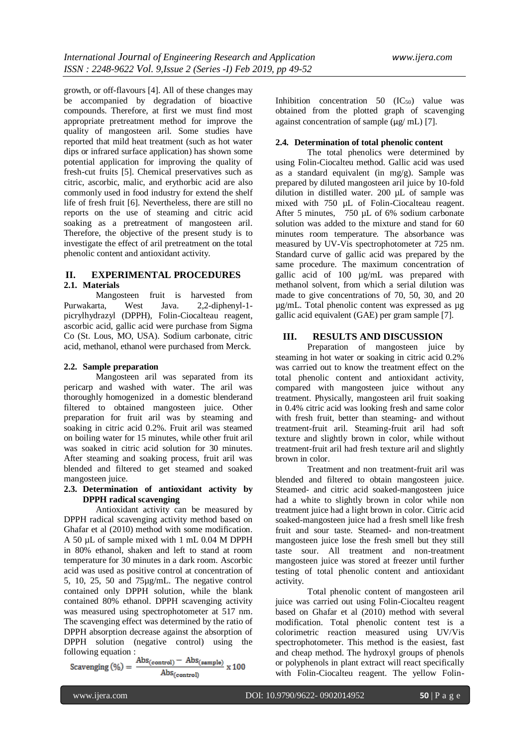growth, or off-flavours [4]. All of these changes may be accompanied by degradation of bioactive compounds. Therefore, at first we must find most appropriate pretreatment method for improve the quality of mangosteen aril. Some studies have reported that mild heat treatment (such as hot water dips or infrared surface application) has shown some potential application for improving the quality of fresh-cut fruits [5]. Chemical preservatives such as citric, ascorbic, malic, and erythorbic acid are also commonly used in food industry for extend the shelf life of fresh fruit [6]. Nevertheless, there are still no reports on the use of steaming and citric acid soaking as a pretreatment of mangosteen aril. Therefore, the objective of the present study is to investigate the effect of aril pretreatment on the total phenolic content and antioxidant activity.

# **II. EXPERIMENTAL PROCEDURES**

# **2.1. Materials**

Mangosteen fruit is harvested from Purwakarta, West Java. 2,2-diphenyl-1 picrylhydrazyl (DPPH), Folin-Ciocalteau reagent, ascorbic acid, gallic acid were purchase from Sigma Co (St. Lous, MO, USA). Sodium carbonate, citric acid, methanol, ethanol were purchased from Merck.

#### **2.2. Sample preparation**

Mangosteen aril was separated from its pericarp and washed with water. The aril was thoroughly homogenized in a domestic blenderand filtered to obtained mangosteen juice. Other preparation for fruit aril was by steaming and soaking in citric acid 0.2%. Fruit aril was steamed on boiling water for 15 minutes, while other fruit aril was soaked in citric acid solution for 30 minutes. After steaming and soaking process, fruit aril was blended and filtered to get steamed and soaked mangosteen juice.

## **2.3. Determination of antioxidant activity by DPPH radical scavenging**

Antioxidant activity can be measured by DPPH radical scavenging activity method based on Ghafar et al (2010) method with some modification. A 50 µL of sample mixed with 1 mL 0.04 M DPPH in 80% ethanol, shaken and left to stand at room temperature for 30 minutes in a dark room. Ascorbic acid was used as positive control at concentration of 5, 10, 25, 50 and 75µg/mL. The negative control contained only DPPH solution, while the blank contained 80% ethanol. DPPH scavenging activity was measured using spectrophotometer at 517 nm. The scavenging effect was determined by the ratio of DPPH absorption decrease against the absorption of DPPH solution (negative control) using the

following equation :<br>
Scavenging (%) =  $\frac{\text{Abs}_{\text{(control)}} - \text{Abs}_{\text{(sample)}}}{\cdot} \times 100$  $\mathrm{Abs}_{(\mathrm{control})}$ 

Inhibition concentration  $50$   $(IC_{50})$  value was obtained from the plotted graph of scavenging against concentration of sample  $(\mu g / mL)$  [7].

## **2.4. Determination of total phenolic content**

The total phenolics were determined by using Folin-Ciocalteu method. Gallic acid was used as a standard equivalent (in mg/g). Sample was prepared by diluted mangosteen aril juice by 10-fold dilution in distilled water. 200 µL of sample was mixed with 750  $\mu$ L of Folin-Ciocalteau reagent. After 5 minutes, 750 µL of 6% sodium carbonate solution was added to the mixture and stand for 60 minutes room temperature. The absorbance was measured by UV-Vis spectrophotometer at 725 nm. Standard curve of gallic acid was prepared by the same procedure. The maximum concentration of gallic acid of 100 µg/mL was prepared with methanol solvent, from which a serial dilution was made to give concentrations of 70, 50, 30, and 20 µg/mL. Total phenolic content was expressed as µg gallic acid equivalent (GAE) per gram sample [7].

## **III. RESULTS AND DISCUSSION**

Preparation of mangosteen juice by steaming in hot water or soaking in citric acid 0.2% was carried out to know the treatment effect on the total phenolic content and antioxidant activity, compared with mangosteen juice without any treatment. Physically, mangosteen aril fruit soaking in 0.4% citric acid was looking fresh and same color with fresh fruit, better than steaming- and without treatment-fruit aril. Steaming-fruit aril had soft texture and slightly brown in color, while without treatment-fruit aril had fresh texture aril and slightly brown in color.

Treatment and non treatment-fruit aril was blended and filtered to obtain mangosteen juice. Steamed- and citric acid soaked-mangosteen juice had a white to slightly brown in color while non treatment juice had a light brown in color. Citric acid soaked-mangosteen juice had a fresh smell like fresh fruit and sour taste. Steamed- and non-treatment mangosteen juice lose the fresh smell but they still taste sour. All treatment and non-treatment mangosteen juice was stored at freezer until further testing of total phenolic content and antioxidant activity.

Total phenolic content of mangosteen aril juice was carried out using Folin-Ciocalteu reagent based on Ghafar et al (2010) method with several modification. Total phenolic content test is a colorimetric reaction measured using UV/Vis spectrophotometer. This method is the easiest, fast and cheap method. The hydroxyl groups of phenols or polyphenols in plant extract will react specifically with Folin-Ciocalteu reagent. The yellow Folin-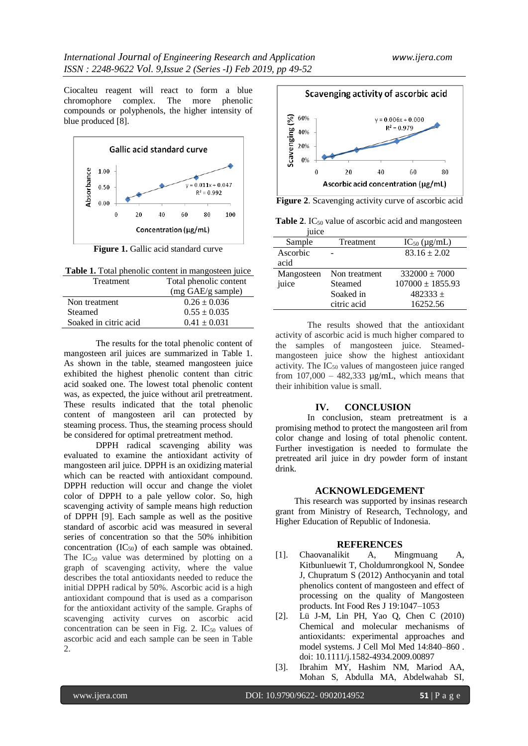Ciocalteu reagent will react to form a blue chromophore complex. The more phenolic compounds or polyphenols, the higher intensity of blue produced [8].



**Figure 1.** Gallic acid standard curve

| Table 1. Total phenolic content in mangosteen juice |  |
|-----------------------------------------------------|--|
|                                                     |  |

| <b>Treatment</b>      | Total phenolic content |
|-----------------------|------------------------|
|                       | (mg GAE/g sample)      |
| Non treatment         | $0.26 \pm 0.036$       |
| <b>Steamed</b>        | $0.55 \pm 0.035$       |
| Soaked in citric acid | $0.41 \pm 0.031$       |

The results for the total phenolic content of mangosteen aril juices are summarized in Table 1. As shown in the table, steamed mangosteen juice exhibited the highest phenolic content than citric acid soaked one. The lowest total phenolic content was, as expected, the juice without aril pretreatment. These results indicated that the total phenolic content of mangosteen aril can protected by steaming process. Thus, the steaming process should be considered for optimal pretreatment method.

DPPH radical scavenging ability was evaluated to examine the antioxidant activity of mangosteen aril juice. DPPH is an oxidizing material which can be reacted with antioxidant compound. DPPH reduction will occur and change the violet color of DPPH to a pale yellow color. So, high scavenging activity of sample means high reduction of DPPH [9]. Each sample as well as the positive standard of ascorbic acid was measured in several series of concentration so that the 50% inhibition concentration  $(IC_{50})$  of each sample was obtained. The  $IC_{50}$  value was determined by plotting on a graph of scavenging activity, where the value describes the total antioxidants needed to reduce the initial DPPH radical by 50%. Ascorbic acid is a high antioxidant compound that is used as a comparison for the antioxidant activity of the sample. Graphs of scavenging activity curves on ascorbic acid concentration can be seen in Fig. 2.  $IC_{50}$  values of ascorbic acid and each sample can be seen in Table 2.



**Figure 2**. Scavenging activity curve of ascorbic acid

**Table 2.** IC<sub>50</sub> value of ascorbic acid and mangosteen  $i<sub>1</sub>$ 

| uicc       |               |                      |
|------------|---------------|----------------------|
| Sample     | Treatment     | $IC_{50}$ (µg/mL)    |
| Ascorbic   |               | $83.16 \pm 2.02$     |
| acid       |               |                      |
| Mangosteen | Non treatment | $332000 \pm 7000$    |
| juice      | Steamed       | $107000 \pm 1855.93$ |
|            | Soaked in     | $482333 +$           |
|            | citric acid   | 16252.56             |
|            |               |                      |

The results showed that the antioxidant activity of ascorbic acid is much higher compared to the samples of mangosteen juice. Steamedmangosteen juice show the highest antioxidant activity. The  $IC_{50}$  values of mangosteen juice ranged from  $107,000 - 482,333$  ug/mL, which means that their inhibition value is small.

#### **IV. CONCLUSION**

In conclusion, steam pretreatment is a promising method to protect the mangosteen aril from color change and losing of total phenolic content. Further investigation is needed to formulate the pretreated aril juice in dry powder form of instant drink.

#### **ACKNOWLEDGEMENT**

This research was supported by insinas research grant from Ministry of Research, Technology, and Higher Education of Republic of Indonesia.

#### **REFERENCES**

- [1]. Chaovanalikit A, Mingmuang A, Kitbunluewit T, Choldumrongkool N, Sondee J, Chupratum S (2012) Anthocyanin and total phenolics content of mangosteen and effect of processing on the quality of Mangosteen products. Int Food Res J 19:1047–1053
- [2]. Lü J-M, Lin PH, Yao Q, Chen C (2010) Chemical and molecular mechanisms of antioxidants: experimental approaches and model systems. J Cell Mol Med 14:840–860 . doi: 10.1111/j.1582-4934.2009.00897
- [3]. Ibrahim MY, Hashim NM, Mariod AA, Mohan S, Abdulla MA, Abdelwahab SI,